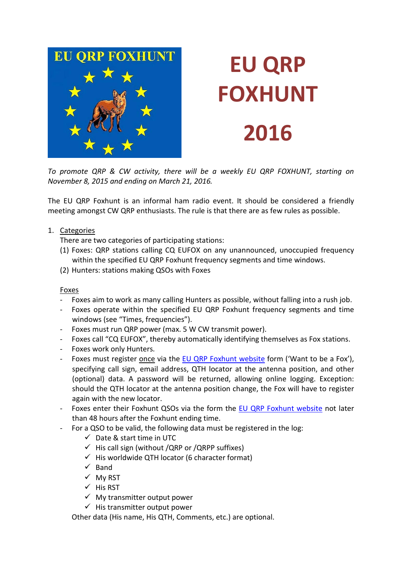

# **EU QRP FOXHUNT 2016**

*To promote QRP & CW activity, there will be a weekly EU QRP FOXHUNT, starting on November 8, 2015 and ending on March 21, 2016.*

The EU QRP Foxhunt is an informal ham radio event. It should be considered a friendly meeting amongst CW QRP enthusiasts. The rule is that there are as few rules as possible.

1. Categories

There are two categories of participating stations:

- (1) Foxes: QRP stations calling CQ EUFOX on any unannounced, unoccupied frequency within the specified EU QRP Foxhunt frequency segments and time windows.
- (2) Hunters: stations making QSOs with Foxes

#### Foxes

- Foxes aim to work as many calling Hunters as possible, without falling into a rush job.
- Foxes operate within the specified EU QRP Foxhunt frequency segments and time windows (see "Times, frequencies").
- Foxes must run QRP power (max. 5 W CW transmit power).
- Foxes call "CQ EUFOX", thereby automatically identifying themselves as Fox stations.
- Foxes work only Hunters.
- Foxes must register once via the [EU QRP Foxhunt website](http://www.on5ex.be/foxhunt) form ('Want to be a Fox'), specifying call sign, email address, QTH locator at the antenna position, and other (optional) data. A password will be returned, allowing online logging. Exception: should the QTH locator at the antenna position change, the Fox will have to register again with the new locator.
- Foxes enter their Foxhunt QSOs via the form the [EU QRP Foxhunt website](http://www.on5ex.be/foxhunt) not later than 48 hours after the Foxhunt ending time.
- For a QSO to be valid, the following data must be registered in the log:
	- $\checkmark$  Date & start time in UTC
	- $\checkmark$  His call sign (without /QRP or /QRPP suffixes)
	- $\checkmark$  His worldwide QTH locator (6 character format)
	- $\checkmark$  Band
	- $\times$  My RST
	- $\checkmark$  His RST
	- $\checkmark$  My transmitter output power
	- $\checkmark$  His transmitter output power

Other data (His name, His QTH, Comments, etc.) are optional.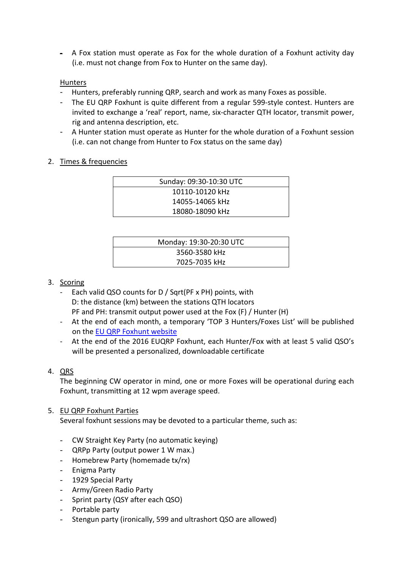- A Fox station must operate as Fox for the whole duration of a Foxhunt activity day (i.e. must not change from Fox to Hunter on the same day).

### Hunters

- Hunters, preferably running QRP, search and work as many Foxes as possible.
- The EU QRP Foxhunt is quite different from a regular 599-style contest. Hunters are invited to exchange a 'real' report, name, six-character QTH locator, transmit power, rig and antenna description, etc.
- A Hunter station must operate as Hunter for the whole duration of a Foxhunt session (i.e. can not change from Hunter to Fox status on the same day)

#### 2. Times & frequencies

| Sunday: 09:30-10:30 UTC |  |
|-------------------------|--|
| 10110-10120 kHz         |  |
| 14055-14065 kHz         |  |
| 18080-18090 kHz         |  |

| Monday: 19:30-20:30 UTC |
|-------------------------|
| 3560-3580 kHz           |
| 7025-7035 kHz           |

## 3. Scoring

- Each valid QSO counts for D / Sqrt(PF x PH) points, with D: the distance (km) between the stations QTH locators PF and PH: transmit output power used at the Fox (F) / Hunter (H)
- At the end of each month, a temporary 'TOP 3 Hunters/Foxes List' will be published on the [EU QRP Foxhunt website](http://www.on5ex.be/foxhunt)
- At the end of the 2016 EUQRP Foxhunt, each Hunter/Fox with at least 5 valid QSO's will be presented a personalized, downloadable certificate

#### 4. QRS

The beginning CW operator in mind, one or more Foxes will be operational during each Foxhunt, transmitting at 12 wpm average speed.

#### 5. EU QRP Foxhunt Parties

Several foxhunt sessions may be devoted to a particular theme, such as:

- CW Straight Key Party (no automatic keying)
- QRPp Party (output power 1 W max.)
- Homebrew Party (homemade tx/rx)
- Enigma Party
- 1929 Special Party
- Army/Green Radio Party
- Sprint party (QSY after each QSO)
- Portable party
- Stengun party (ironically, 599 and ultrashort QSO are allowed)